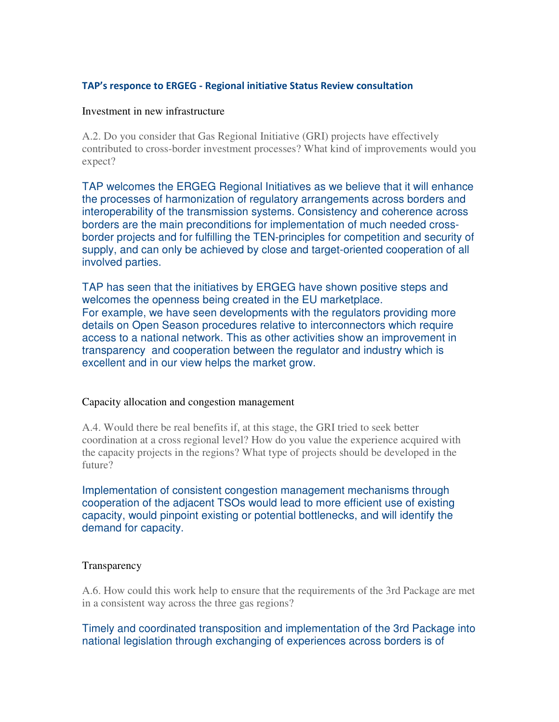## **TAP's responce to ERGEG - Regional initiative Status Review consultation**

## Investment in new infrastructure

A.2. Do you consider that Gas Regional Initiative (GRI) projects have effectively contributed to cross-border investment processes? What kind of improvements would you expect?

TAP welcomes the ERGEG Regional Initiatives as we believe that it will enhance the processes of harmonization of regulatory arrangements across borders and interoperability of the transmission systems. Consistency and coherence across borders are the main preconditions for implementation of much needed crossborder projects and for fulfilling the TEN-principles for competition and security of supply, and can only be achieved by close and target-oriented cooperation of all involved parties.

TAP has seen that the initiatives by ERGEG have shown positive steps and welcomes the openness being created in the EU marketplace. For example, we have seen developments with the regulators providing more details on Open Season procedures relative to interconnectors which require access to a national network. This as other activities show an improvement in transparency and cooperation between the regulator and industry which is excellent and in our view helps the market grow.

## Capacity allocation and congestion management

A.4. Would there be real benefits if, at this stage, the GRI tried to seek better coordination at a cross regional level? How do you value the experience acquired with the capacity projects in the regions? What type of projects should be developed in the future?

Implementation of consistent congestion management mechanisms through cooperation of the adjacent TSOs would lead to more efficient use of existing capacity, would pinpoint existing or potential bottlenecks, and will identify the demand for capacity.

## **Transparency**

A.6. How could this work help to ensure that the requirements of the 3rd Package are met in a consistent way across the three gas regions?

Timely and coordinated transposition and implementation of the 3rd Package into national legislation through exchanging of experiences across borders is of